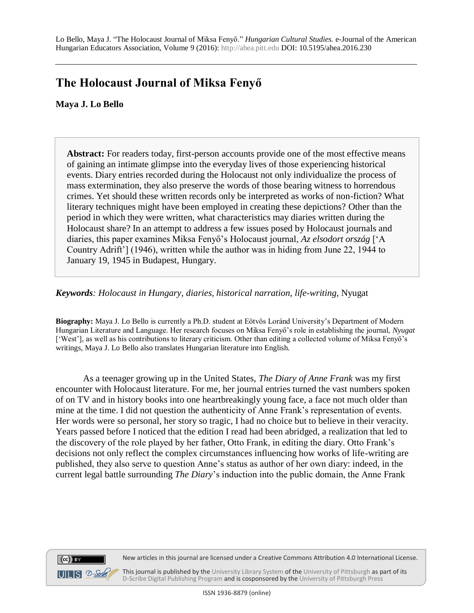## **The Holocaust Journal of Miksa Fenyő**

## **Maya J. Lo Bello**

**Abstract:** For readers today, first-person accounts provide one of the most effective means of gaining an intimate glimpse into the everyday lives of those experiencing historical events. Diary entries recorded during the Holocaust not only individualize the process of mass extermination, they also preserve the words of those bearing witness to horrendous crimes. Yet should these written records only be interpreted as works of non-fiction? What literary techniques might have been employed in creating these depictions? Other than the period in which they were written, what characteristics may diaries written during the Holocaust share? In an attempt to address a few issues posed by Holocaust journals and diaries, this paper examines Miksa Fenyő's Holocaust journal, *Az elsodort ország* ['A Country Adrift'] (1946), written while the author was in hiding from June 22, 1944 to January 19, 1945 in Budapest, Hungary.

## *Keywords: Holocaust in Hungary, diaries, historical narration, life-writing,* Nyugat

**Biography:** Maya J. Lo Bello is currently a Ph.D. student at Eötvös Loránd University's Department of Modern Hungarian Literature and Language. Her research focuses on Miksa Fenyő's role in establishing the journal, *Nyugat* ['West'], as well as his contributions to literary criticism. Other than editing a collected volume of Miksa Fenyő's writings, Maya J. Lo Bello also translates Hungarian literature into English.

As a teenager growing up in the United States, *The Diary of Anne Frank* was my first encounter with Holocaust literature. For me, her journal entries turned the vast numbers spoken of on TV and in history books into one heartbreakingly young face, a face not much older than mine at the time. I did not question the authenticity of Anne Frank's representation of events. Her words were so personal, her story so tragic, I had no choice but to believe in their veracity. Years passed before I noticed that the edition I read had been abridged, a realization that led to the discovery of the role played by her father, Otto Frank, in editing the diary. Otto Frank's decisions not only reflect the complex circumstances influencing how works of life-writing are published, they also serve to question Anne's status as author of her own diary: indeed, in the current legal battle surrounding *The Diary*'s induction into the public domain, the Anne Frank



New articles in this journal are licensed under a Creative Commons Attribution 4.0 International License.

This journal is published by th[e University Library System](http://www.library.pitt.edu/) of th[e University of Pittsburgh](http://www.pitt.edu/) as part of its [D-Scribe Digital Publishing Program](http://www.library.pitt.edu/articles/digpubtype/index.html) and is cosponsored by the [University of Pittsburgh Press](http://upress.pitt.edu/)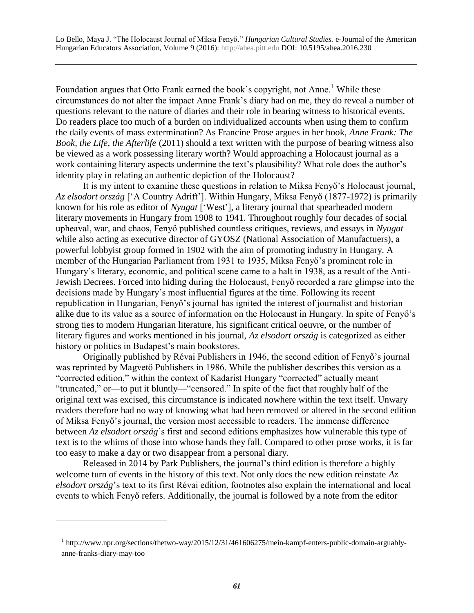Foundation argues that Otto Frank earned the book's copyright, not Anne.<sup>1</sup> While these circumstances do not alter the impact Anne Frank's diary had on me, they do reveal a number of questions relevant to the nature of diaries and their role in bearing witness to historical events. Do readers place too much of a burden on individualized accounts when using them to confirm the daily events of mass extermination? As Francine Prose argues in her book, *Anne Frank: The Book, the Life, the Afterlife* (2011) should a text written with the purpose of bearing witness also be viewed as a work possessing literary worth? Would approaching a Holocaust journal as a work containing literary aspects undermine the text's plausibility? What role does the author's identity play in relating an authentic depiction of the Holocaust?

It is my intent to examine these questions in relation to Miksa Fenyő's Holocaust journal, *Az elsodort ország* ['A Country Adrift']. Within Hungary, Miksa Fenyő (1877-1972) is primarily known for his role as editor of *Nyugat* ['West'], a literary journal that spearheaded modern literary movements in Hungary from 1908 to 1941. Throughout roughly four decades of social upheaval, war, and chaos, Fenyő published countless critiques, reviews, and essays in *Nyugat* while also acting as executive director of GYOSZ (National Association of Manufactuers), a powerful lobbyist group formed in 1902 with the aim of promoting industry in Hungary. A member of the Hungarian Parliament from 1931 to 1935, Miksa Fenyő's prominent role in Hungary's literary, economic, and political scene came to a halt in 1938, as a result of the Anti-Jewish Decrees. Forced into hiding during the Holocaust, Fenyő recorded a rare glimpse into the decisions made by Hungary's most influential figures at the time. Following its recent republication in Hungarian, Fenyő's journal has ignited the interest of journalist and historian alike due to its value as a source of information on the Holocaust in Hungary. In spite of Fenyő's strong ties to modern Hungarian literature, his significant critical oeuvre, or the number of literary figures and works mentioned in his journal, *Az elsodort ország* is categorized as either history or politics in Budapest's main bookstores.

Originally published by Révai Publishers in 1946, the second edition of Fenyő's journal was reprinted by Magvető Publishers in 1986. While the publisher describes this version as a "corrected edition," within the context of Kadarist Hungary "corrected" actually meant "truncated," or—to put it bluntly—"censored." In spite of the fact that roughly half of the original text was excised, this circumstance is indicated nowhere within the text itself. Unwary readers therefore had no way of knowing what had been removed or altered in the second edition of Miksa Fenyő's journal, the version most accessible to readers. The immense difference between *Az elsodort ország*'s first and second editions emphasizes how vulnerable this type of text is to the whims of those into whose hands they fall. Compared to other prose works, it is far too easy to make a day or two disappear from a personal diary.

Released in 2014 by Park Publishers, the journal's third edition is therefore a highly welcome turn of events in the history of this text. Not only does the new edition reinstate *Az elsodort ország*'s text to its first Révai edition, footnotes also explain the international and local events to which Fenyő refers. Additionally, the journal is followed by a note from the editor

 $\overline{a}$ 

<sup>&</sup>lt;sup>1</sup> http://www.npr.org/sections/thetwo-way/2015/12/31/461606275/mein-kampf-enters-public-domain-arguablyanne-franks-diary-may-too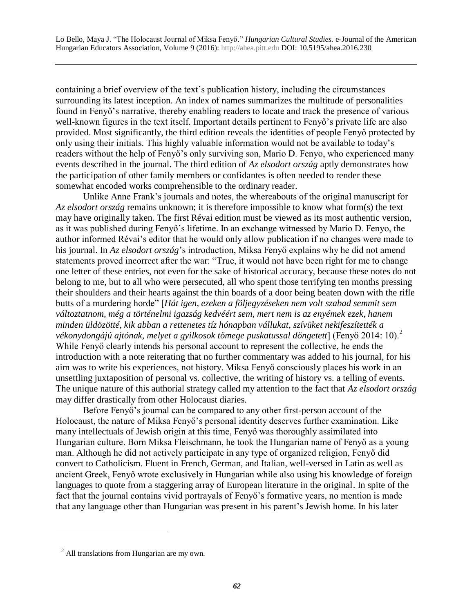containing a brief overview of the text's publication history, including the circumstances surrounding its latest inception. An index of names summarizes the multitude of personalities found in Fenyő's narrative, thereby enabling readers to locate and track the presence of various well-known figures in the text itself. Important details pertinent to Fenyő's private life are also provided. Most significantly, the third edition reveals the identities of people Fenyő protected by only using their initials. This highly valuable information would not be available to today's readers without the help of Fenyő's only surviving son, Mario D. Fenyo, who experienced many events described in the journal. The third edition of *Az elsodort ország* aptly demonstrates how the participation of other family members or confidantes is often needed to render these somewhat encoded works comprehensible to the ordinary reader.

Unlike Anne Frank's journals and notes, the whereabouts of the original manuscript for *Az elsodort ország* remains unknown; it is therefore impossible to know what form(s) the text may have originally taken. The first Révai edition must be viewed as its most authentic version, as it was published during Fenyő's lifetime. In an exchange witnessed by Mario D. Fenyo, the author informed Révai's editor that he would only allow publication if no changes were made to his journal. In *Az elsodort ország*'s introduction, Miksa Fenyő explains why he did not amend statements proved incorrect after the war: "True, it would not have been right for me to change one letter of these entries, not even for the sake of historical accuracy, because these notes do not belong to me, but to all who were persecuted, all who spent those terrifying ten months pressing their shoulders and their hearts against the thin boards of a door being beaten down with the rifle butts of a murdering horde" [*Hát igen, ezeken a följegyzéseken nem volt szabad semmit sem változtatnom, még a történelmi igazság kedvéért sem, mert nem is az enyémek ezek, hanem minden üldözötté, kik abban a rettenetes tíz hónapban vállukat, szívüket nekifeszítették a*  vékonydongájú ajtónak, melyet a gyilkosok tömege puskatussal döngetett] (Fenyő 2014: 10).<sup>2</sup> While Fenyő clearly intends his personal account to represent the collective, he ends the introduction with a note reiterating that no further commentary was added to his journal, for his aim was to write his experiences, not history. Miksa Fenyő consciously places his work in an unsettling juxtaposition of personal vs. collective, the writing of history vs. a telling of events. The unique nature of this authorial strategy called my attention to the fact that *Az elsodort ország* may differ drastically from other Holocaust diaries.

Before Fenyő's journal can be compared to any other first-person account of the Holocaust, the nature of Miksa Fenyő's personal identity deserves further examination. Like many intellectuals of Jewish origin at this time, Fenyő was thoroughly assimilated into Hungarian culture. Born Miksa Fleischmann, he took the Hungarian name of Fenyő as a young man. Although he did not actively participate in any type of organized religion, Fenyő did convert to Catholicism. Fluent in French, German, and Italian, well-versed in Latin as well as ancient Greek, Fenyő wrote exclusively in Hungarian while also using his knowledge of foreign languages to quote from a staggering array of European literature in the original. In spite of the fact that the journal contains vivid portrayals of Fenyő's formative years, no mention is made that any language other than Hungarian was present in his parent's Jewish home. In his later

 $\overline{a}$ 

<sup>&</sup>lt;sup>2</sup> All translations from Hungarian are my own.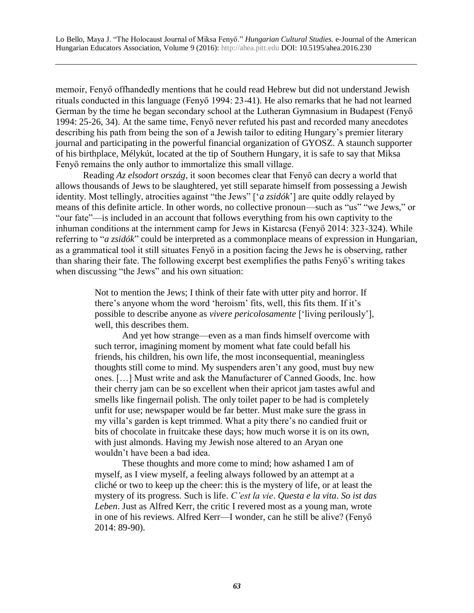memoir, Fenyő offhandedly mentions that he could read Hebrew but did not understand Jewish rituals conducted in this language (Fenyő 1994: 23-41). He also remarks that he had not learned German by the time he began secondary school at the Lutheran Gymnasium in Budapest (Fenyő 1994: 25-26, 34). At the same time, Fenyő never refuted his past and recorded many anecdotes describing his path from being the son of a Jewish tailor to editing Hungary's premier literary journal and participating in the powerful financial organization of GYOSZ. A staunch supporter of his birthplace, Mélykút, located at the tip of Southern Hungary, it is safe to say that Miksa Fenyő remains the only author to immortalize this small village.

Reading *Az elsodort ország*, it soon becomes clear that Fenyő can decry a world that allows thousands of Jews to be slaughtered, yet still separate himself from possessing a Jewish identity. Most tellingly, atrocities against "the Jews" ['*a zsidók*'] are quite oddly relayed by means of this definite article. In other words, no collective pronoun—such as "us" "we Jews," or "our fate"—is included in an account that follows everything from his own captivity to the inhuman conditions at the internment camp for Jews in Kistarcsa (Fenyő 2014: 323-324). While referring to "*a zsidók*" could be interpreted as a commonplace means of expression in Hungarian, as a grammatical tool it still situates Fenyő in a position facing the Jews he is observing, rather than sharing their fate. The following excerpt best exemplifies the paths Fenyő's writing takes when discussing "the Jews" and his own situation:

> Not to mention the Jews; I think of their fate with utter pity and horror. If there's anyone whom the word 'heroism' fits, well, this fits them. If it's possible to describe anyone as *vivere pericolosamente* ['living perilously'], well, this describes them.

> And yet how strange—even as a man finds himself overcome with such terror, imagining moment by moment what fate could befall his friends, his children, his own life, the most inconsequential, meaningless thoughts still come to mind. My suspenders aren't any good, must buy new ones. […] Must write and ask the Manufacturer of Canned Goods, Inc. how their cherry jam can be so excellent when their apricot jam tastes awful and smells like fingernail polish. The only toilet paper to be had is completely unfit for use; newspaper would be far better. Must make sure the grass in my villa's garden is kept trimmed. What a pity there's no candied fruit or bits of chocolate in fruitcake these days; how much worse it is on its own, with just almonds. Having my Jewish nose altered to an Aryan one wouldn't have been a bad idea.

> These thoughts and more come to mind; how ashamed I am of myself, as I view myself, a feeling always followed by an attempt at a cliché or two to keep up the cheer: this is the mystery of life, or at least the mystery of its progress. Such is life. *C'est la vie*. *Questa e la vita*. *So ist das Leben*. Just as Alfred Kerr, the critic I revered most as a young man, wrote in one of his reviews. Alfred Kerr—I wonder, can he still be alive? (Fenyő 2014: 89-90).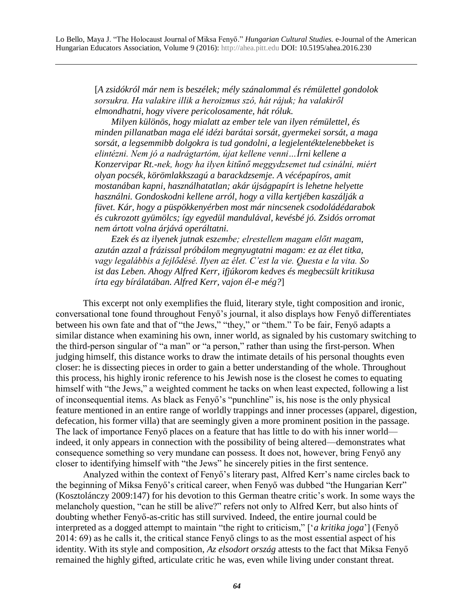[*A zsidókról már nem is beszélek; mély szánalommal és rémülettel gondolok sorsukra. Ha valakire illik a heroizmus szó, hát rájuk; ha valakiről elmondhatni, hogy vivere pericolosamente, hát róluk.*

*Milyen különös, hogy mialatt az ember tele van ilyen rémülettel, és minden pillanatban maga elé idézi barátai sorsát, gyermekei sorsát, a maga sorsát, a legsemmibb dolgokra is tud gondolni, a legjelentéktelenebbeket is elintézni. Nem jó a nadrágtartóm, újat kellene venni…Írni kellene a Konzervipar Rt.-nek, hogy ha ilyen kitűnő meggydzsemet tud csinálni, miért olyan pocsék, körömlakkszagú a barackdzsemje. A vécépapíros, amit mostanában kapni, használhatatlan; akár újságpapírt is lehetne helyette használni. Gondoskodni kellene arról, hogy a villa kertjében kaszálják a füvet. Kár, hogy a püspökkenyérben most már nincsenek csodoládédarabok és cukrozott gyümölcs; így egyedül mandulával, kevésbé jó. Zsidós orromat nem ártott volna árjává operáltatni.*

*Ezek és az ilyenek jutnak eszembe; elrestellem magam előtt magam, azután azzal a frázissal próbálom megnyugtatni magam: ez az élet titka, vagy legalábbis a fejlődésé. Ilyen az élet. C'est la vie. Questa e la vita. So ist das Leben. Ahogy Alfred Kerr, ifjúkorom kedves és megbecsült kritikusa írta egy bírálatában. Alfred Kerr, vajon él-e még?*]

This excerpt not only exemplifies the fluid, literary style, tight composition and ironic, conversational tone found throughout Fenyő's journal, it also displays how Fenyő differentiates between his own fate and that of "the Jews," "they," or "them." To be fair, Fenyő adapts a similar distance when examining his own, inner world, as signaled by his customary switching to the third-person singular of "a man" or "a person," rather than using the first-person. When judging himself, this distance works to draw the intimate details of his personal thoughts even closer: he is dissecting pieces in order to gain a better understanding of the whole. Throughout this process, his highly ironic reference to his Jewish nose is the closest he comes to equating himself with "the Jews," a weighted comment he tacks on when least expected, following a list of inconsequential items. As black as Fenyő's "punchline" is, his nose is the only physical feature mentioned in an entire range of worldly trappings and inner processes (apparel, digestion, defecation, his former villa) that are seemingly given a more prominent position in the passage. The lack of importance Fenyő places on a feature that has little to do with his inner world indeed, it only appears in connection with the possibility of being altered—demonstrates what consequence something so very mundane can possess. It does not, however, bring Fenyő any closer to identifying himself with "the Jews" he sincerely pities in the first sentence.

Analyzed within the context of Fenyő's literary past, Alfred Kerr's name circles back to the beginning of Miksa Fenyő's critical career, when Fenyő was dubbed "the Hungarian Kerr" (Kosztolánczy 2009:147) for his devotion to this German theatre critic's work. In some ways the melancholy question, "can he still be alive?" refers not only to Alfred Kerr, but also hints of doubting whether Fenyő-as-critic has still survived. Indeed, the entire journal could be interpreted as a dogged attempt to maintain "the right to criticism," ['*a kritika joga*'] (Fenyő 2014: 69) as he calls it, the critical stance Fenyő clings to as the most essential aspect of his identity. With its style and composition, *Az elsodort ország* attests to the fact that Miksa Fenyő remained the highly gifted, articulate critic he was, even while living under constant threat.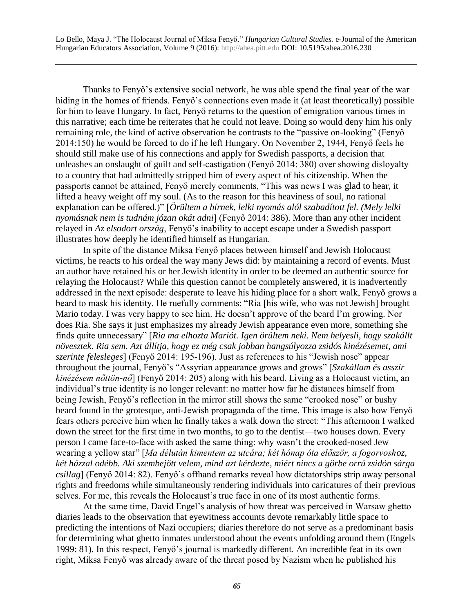Thanks to Fenyő's extensive social network, he was able spend the final year of the war hiding in the homes of friends. Fenyő's connections even made it (at least theoretically) possible for him to leave Hungary. In fact, Fenyő returns to the question of emigration various times in this narrative; each time he reiterates that he could not leave. Doing so would deny him his only remaining role, the kind of active observation he contrasts to the "passive on-looking" (Fenyő 2014:150) he would be forced to do if he left Hungary. On November 2, 1944, Fenyő feels he should still make use of his connections and apply for Swedish passports, a decision that unleashes an onslaught of guilt and self-castigation (Fenyő 2014: 380) over showing disloyalty to a country that had admittedly stripped him of every aspect of his citizenship. When the passports cannot be attained, Fenyő merely comments, "This was news I was glad to hear, it lifted a heavy weight off my soul. (As to the reason for this heaviness of soul, no rational explanation can be offered.)" [*Örültem a hírnek, lelki nyomás alól szabadított fel. (Mely lelki nyomásnak nem is tudnám józan okát adni*] (Fenyő 2014: 386). More than any other incident relayed in *Az elsodort ország*, Fenyő's inability to accept escape under a Swedish passport illustrates how deeply he identified himself as Hungarian.

In spite of the distance Miksa Fenyő places between himself and Jewish Holocaust victims, he reacts to his ordeal the way many Jews did: by maintaining a record of events. Must an author have retained his or her Jewish identity in order to be deemed an authentic source for relaying the Holocaust? While this question cannot be completely answered, it is inadvertently addressed in the next episode: desperate to leave his hiding place for a short walk, Fenyő grows a beard to mask his identity. He ruefully comments: "Ria [his wife, who was not Jewish] brought Mario today. I was very happy to see him. He doesn't approve of the beard I'm growing. Nor does Ria. She says it just emphasizes my already Jewish appearance even more, something she finds quite unnecessary" [*Ria ma elhozta Mariót. Igen örültem neki. Nem helyesli, hogy szakállt növesztek. Ria sem. Azt állítja, hogy ez még csak jobban hangsúlyozza zsidós kinézésemet, ami szerinte felesleges*] (Fenyő 2014: 195-196). Just as references to his "Jewish nose" appear throughout the journal, Fenyő's "Assyrian appearance grows and grows" [*Szakállam és asszír kinézésem nőttön-nő*] (Fenyő 2014: 205) along with his beard. Living as a Holocaust victim, an individual's true identity is no longer relevant: no matter how far he distances himself from being Jewish, Fenyő's reflection in the mirror still shows the same "crooked nose" or bushy beard found in the grotesque, anti-Jewish propaganda of the time. This image is also how Fenyő fears others perceive him when he finally takes a walk down the street: "This afternoon I walked down the street for the first time in two months, to go to the dentist—two houses down. Every person I came face-to-face with asked the same thing: why wasn't the crooked-nosed Jew wearing a yellow star" [*Ma délután kimentem az utcára; két hónap óta először, a fogorvoshoz, két házzal odébb. Aki szembejött velem, mind azt kérdezte, miért nincs a görbe orrú zsidón sárga csillag*] (Fenyő 2014: 82). Fenyő's offhand remarks reveal how dictatorships strip away personal rights and freedoms while simultaneously rendering individuals into caricatures of their previous selves. For me, this reveals the Holocaust's true face in one of its most authentic forms.

At the same time, David Engel's analysis of how threat was perceived in Warsaw ghetto diaries leads to the observation that eyewitness accounts devote remarkably little space to predicting the intentions of Nazi occupiers; diaries therefore do not serve as a predominant basis for determining what ghetto inmates understood about the events unfolding around them (Engels 1999: 81). In this respect, Fenyő's journal is markedly different. An incredible feat in its own right, Miksa Fenyő was already aware of the threat posed by Nazism when he published his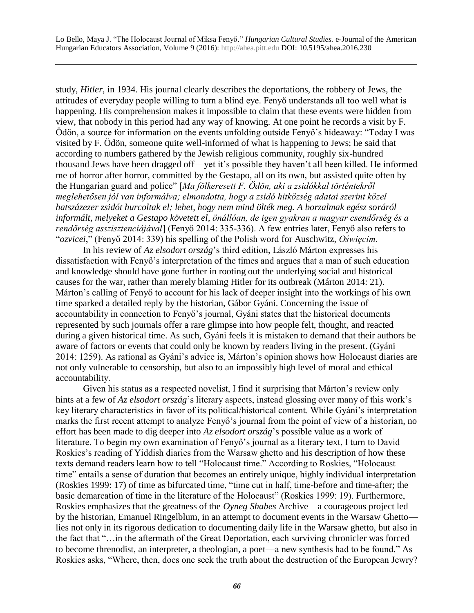study, *Hitler*, in 1934. His journal clearly describes the deportations, the robbery of Jews, the attitudes of everyday people willing to turn a blind eye. Fenyő understands all too well what is happening. His comprehension makes it impossible to claim that these events were hidden from view, that nobody in this period had any way of knowing. At one point he records a visit by F. Ödön, a source for information on the events unfolding outside Fenyő's hideaway: "Today I was visited by F. Ödön, someone quite well-informed of what is happening to Jews; he said that according to numbers gathered by the Jewish religious community, roughly six-hundred thousand Jews have been dragged off—yet it's possible they haven't all been killed. He informed me of horror after horror, committed by the Gestapo, all on its own, but assisted quite often by the Hungarian guard and police" [*Ma fölkeresett F. Ödön, aki a zsidókkal történtekről meglehetősen jól van informálva; elmondotta, hogy a zsidó hitközség adatai szerint közel hatszázezer zsidót hurcoltak el; lehet, hogy nem mind ölték meg. A borzalmak egész soráról informált, melyeket a Gestapo követett el, önállóan, de igen gyakran a magyar csendőrség és a rendőrség asszisztenciájával*] (Fenyő 2014: 335-336). A few entries later, Fenyő also refers to "*ozvicei*," (Fenyő 2014: 339) his spelling of the Polish word for Auschwitz, *Oświęcim*.

In his review of *Az elsodort ország*'s third edition, László Márton expresses his dissatisfaction with Fenyő's interpretation of the times and argues that a man of such education and knowledge should have gone further in rooting out the underlying social and historical causes for the war, rather than merely blaming Hitler for its outbreak (Márton 2014: 21). Márton's calling of Fenyő to account for his lack of deeper insight into the workings of his own time sparked a detailed reply by the historian, Gábor Gyáni. Concerning the issue of accountability in connection to Fenyő's journal, Gyáni states that the historical documents represented by such journals offer a rare glimpse into how people felt, thought, and reacted during a given historical time. As such, Gyáni feels it is mistaken to demand that their authors be aware of factors or events that could only be known by readers living in the present. (Gyáni 2014: 1259). As rational as Gyáni's advice is, Márton's opinion shows how Holocaust diaries are not only vulnerable to censorship, but also to an impossibly high level of moral and ethical accountability.

Given his status as a respected novelist, I find it surprising that Márton's review only hints at a few of *Az elsodort ország*'s literary aspects, instead glossing over many of this work's key literary characteristics in favor of its political/historical content. While Gyáni's interpretation marks the first recent attempt to analyze Fenyő's journal from the point of view of a historian, no effort has been made to dig deeper into *Az elsodort ország*'s possible value as a work of literature. To begin my own examination of Fenyő's journal as a literary text, I turn to David Roskies's reading of Yiddish diaries from the Warsaw ghetto and his description of how these texts demand readers learn how to tell "Holocaust time." According to Roskies, "Holocaust time" entails a sense of duration that becomes an entirely unique, highly individual interpretation (Roskies 1999: 17) of time as bifurcated time, "time cut in half, time-before and time-after; the basic demarcation of time in the literature of the Holocaust" (Roskies 1999: 19). Furthermore, Roskies emphasizes that the greatness of the *Oyneg Shabes* Archive—a courageous project led by the historian, Emanuel Ringelblum, in an attempt to document events in the Warsaw Ghetto lies not only in its rigorous dedication to documenting daily life in the Warsaw ghetto, but also in the fact that "…in the aftermath of the Great Deportation, each surviving chronicler was forced to become threnodist, an interpreter, a theologian, a poet—a new synthesis had to be found." As Roskies asks, "Where, then, does one seek the truth about the destruction of the European Jewry?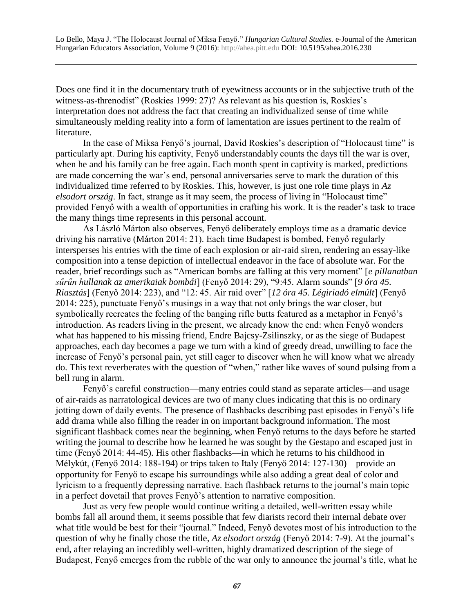Does one find it in the documentary truth of eyewitness accounts or in the subjective truth of the witness-as-threnodist" (Roskies 1999: 27)? As relevant as his question is, Roskies's interpretation does not address the fact that creating an individualized sense of time while simultaneously melding reality into a form of lamentation are issues pertinent to the realm of literature.

In the case of Miksa Fenyő's journal, David Roskies's description of "Holocaust time" is particularly apt. During his captivity, Fenyő understandably counts the days till the war is over, when he and his family can be free again. Each month spent in captivity is marked, predictions are made concerning the war's end, personal anniversaries serve to mark the duration of this individualized time referred to by Roskies. This, however, is just one role time plays in *Az elsodort ország*. In fact, strange as it may seem, the process of living in "Holocaust time" provided Fenyő with a wealth of opportunities in crafting his work. It is the reader's task to trace the many things time represents in this personal account.

As László Márton also observes, Fenyő deliberately employs time as a dramatic device driving his narrative (Márton 2014: 21). Each time Budapest is bombed, Fenyő regularly intersperses his entries with the time of each explosion or air-raid siren, rendering an essay-like composition into a tense depiction of intellectual endeavor in the face of absolute war. For the reader, brief recordings such as "American bombs are falling at this very moment" [*e pillanatban sűrűn hullanak az amerikaiak bombái*] (Fenyő 2014: 29), "9:45. Alarm sounds" [*9 óra 45. Riasztás*] (Fenyő 2014: 223), and "12: 45. Air raid over" [*12 óra 45. Légiriadó elmúlt*] (Fenyő 2014: 225), punctuate Fenyő's musings in a way that not only brings the war closer, but symbolically recreates the feeling of the banging rifle butts featured as a metaphor in Fenyő's introduction. As readers living in the present, we already know the end: when Fenyő wonders what has happened to his missing friend, Endre Bajcsy-Zsilinszky, or as the siege of Budapest approaches, each day becomes a page we turn with a kind of greedy dread, unwilling to face the increase of Fenyő's personal pain, yet still eager to discover when he will know what we already do. This text reverberates with the question of "when," rather like waves of sound pulsing from a bell rung in alarm.

Fenyő's careful construction—many entries could stand as separate articles—and usage of air-raids as narratological devices are two of many clues indicating that this is no ordinary jotting down of daily events. The presence of flashbacks describing past episodes in Fenyő's life add drama while also filling the reader in on important background information. The most significant flashback comes near the beginning, when Fenyő returns to the days before he started writing the journal to describe how he learned he was sought by the Gestapo and escaped just in time (Fenyő 2014: 44-45). His other flashbacks—in which he returns to his childhood in Mélykút, (Fenyő 2014: 188-194) or trips taken to Italy (Fenyő 2014: 127-130)—provide an opportunity for Fenyő to escape his surroundings while also adding a great deal of color and lyricism to a frequently depressing narrative. Each flashback returns to the journal's main topic in a perfect dovetail that proves Fenyő's attention to narrative composition.

Just as very few people would continue writing a detailed, well-written essay while bombs fall all around them, it seems possible that few diarists record their internal debate over what title would be best for their "journal." Indeed, Fenyő devotes most of his introduction to the question of why he finally chose the title, *Az elsodort ország* (Fenyő 2014: 7-9). At the journal's end, after relaying an incredibly well-written, highly dramatized description of the siege of Budapest, Fenyő emerges from the rubble of the war only to announce the journal's title, what he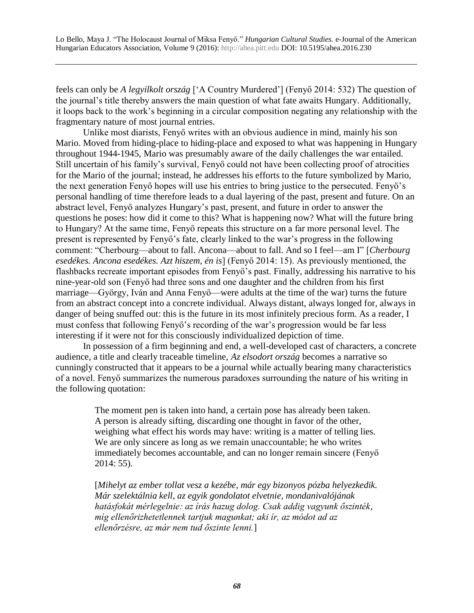feels can only be *A legyilkolt ország* ['A Country Murdered'] (Fenyő 2014: 532) The question of the journal's title thereby answers the main question of what fate awaits Hungary. Additionally, it loops back to the work's beginning in a circular composition negating any relationship with the fragmentary nature of most journal entries.

Unlike most diarists, Fenyő writes with an obvious audience in mind, mainly his son Mario. Moved from hiding-place to hiding-place and exposed to what was happening in Hungary throughout 1944-1945, Mario was presumably aware of the daily challenges the war entailed. Still uncertain of his family's survival, Fenyő could not have been collecting proof of atrocities for the Mario of the journal; instead, he addresses his efforts to the future symbolized by Mario, the next generation Fenyő hopes will use his entries to bring justice to the persecuted. Fenyő's personal handling of time therefore leads to a dual layering of the past, present and future. On an abstract level, Fenyő analyzes Hungary's past, present, and future in order to answer the questions he poses: how did it come to this? What is happening now? What will the future bring to Hungary? At the same time, Fenyő repeats this structure on a far more personal level. The present is represented by Fenyő's fate, clearly linked to the war's progress in the following comment: "Cherbourg—about to fall. Ancona—about to fall. And so I feel—am I" [*Cherbourg esedékes. Ancona esedékes. Azt hiszem, én is*] (Fenyő 2014: 15). As previously mentioned, the flashbacks recreate important episodes from Fenyő's past. Finally, addressing his narrative to his nine-year-old son (Fenyő had three sons and one daughter and the children from his first marriage—György, Iván and Anna Fenyő—were adults at the time of the war) turns the future from an abstract concept into a concrete individual. Always distant, always longed for, always in danger of being snuffed out: this is the future in its most infinitely precious form. As a reader, I must confess that following Fenyő's recording of the war's progression would be far less interesting if it were not for this consciously individualized depiction of time.

In possession of a firm beginning and end, a well-developed cast of characters, a concrete audience, a title and clearly traceable timeline, *Az elsodort ország* becomes a narrative so cunningly constructed that it appears to be a journal while actually bearing many characteristics of a novel. Fenyő summarizes the numerous paradoxes surrounding the nature of his writing in the following quotation:

> The moment pen is taken into hand, a certain pose has already been taken. A person is already sifting, discarding one thought in favor of the other, weighing what effect his words may have: writing is a matter of telling lies. We are only sincere as long as we remain unaccountable; he who writes immediately becomes accountable, and can no longer remain sincere (Fenyő 2014: 55).

[*Mihelyt az ember tollat vesz a kezébe, már egy bizonyos pózba helyezkedik. Már szelektálnia kell, az egyik gondolatot elvetnie, mondanivalójának hatásfokát mérlegelnie: az írás hazug dolog. Csak addig vagyunk őszinték, míg ellenőrizhetetlennek tartjuk magunkat; aki ír, az módot ad az ellenőrzésre, az már nem tud őszinte lenni.*]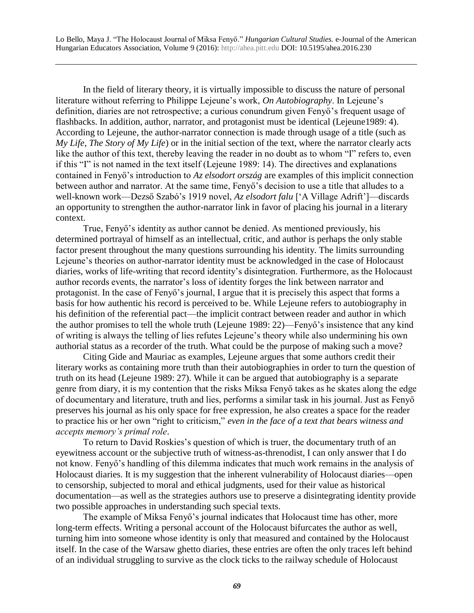In the field of literary theory, it is virtually impossible to discuss the nature of personal literature without referring to Philippe Lejeune's work, *On Autobiography*. In Lejeune's definition, diaries are not retrospective; a curious conundrum given Fenyő's frequent usage of flashbacks. In addition, author, narrator, and protagonist must be identical (Lejeune1989: 4). According to Lejeune, the author-narrator connection is made through usage of a title (such as *My Life*, *The Story of My Life*) or in the initial section of the text, where the narrator clearly acts like the author of this text, thereby leaving the reader in no doubt as to whom "I" refers to, even if this "I" is not named in the text itself (Lejeune 1989: 14). The directives and explanations contained in Fenyő's introduction to *Az elsodort ország* are examples of this implicit connection between author and narrator. At the same time, Fenyő's decision to use a title that alludes to a well-known work—Dezső Szabó's 1919 novel, *Az elsodort falu* ['A Village Adrift']—discards an opportunity to strengthen the author-narrator link in favor of placing his journal in a literary context.

True, Fenyő's identity as author cannot be denied. As mentioned previously, his determined portrayal of himself as an intellectual, critic, and author is perhaps the only stable factor present throughout the many questions surrounding his identity. The limits surrounding Lejeune's theories on author-narrator identity must be acknowledged in the case of Holocaust diaries, works of life-writing that record identity's disintegration. Furthermore, as the Holocaust author records events, the narrator's loss of identity forges the link between narrator and protagonist. In the case of Fenyő's journal, I argue that it is precisely this aspect that forms a basis for how authentic his record is perceived to be. While Lejeune refers to autobiography in his definition of the referential pact—the implicit contract between reader and author in which the author promises to tell the whole truth (Lejeune 1989: 22)—Fenyő's insistence that any kind of writing is always the telling of lies refutes Lejeune's theory while also undermining his own authorial status as a recorder of the truth. What could be the purpose of making such a move?

Citing Gide and Mauriac as examples, Lejeune argues that some authors credit their literary works as containing more truth than their autobiographies in order to turn the question of truth on its head (Lejeune 1989: 27). While it can be argued that autobiography is a separate genre from diary, it is my contention that the risks Miksa Fenyő takes as he skates along the edge of documentary and literature, truth and lies, performs a similar task in his journal. Just as Fenyő preserves his journal as his only space for free expression, he also creates a space for the reader to practice his or her own "right to criticism," *even in the face of a text that bears witness and accepts memory's primal role*.

To return to David Roskies's question of which is truer, the documentary truth of an eyewitness account or the subjective truth of witness-as-threnodist, I can only answer that I do not know. Fenyő's handling of this dilemma indicates that much work remains in the analysis of Holocaust diaries. It is my suggestion that the inherent vulnerability of Holocaust diaries—open to censorship, subjected to moral and ethical judgments, used for their value as historical documentation—as well as the strategies authors use to preserve a disintegrating identity provide two possible approaches in understanding such special texts.

The example of Miksa Fenyő's journal indicates that Holocaust time has other, more long-term effects. Writing a personal account of the Holocaust bifurcates the author as well, turning him into someone whose identity is only that measured and contained by the Holocaust itself. In the case of the Warsaw ghetto diaries, these entries are often the only traces left behind of an individual struggling to survive as the clock ticks to the railway schedule of Holocaust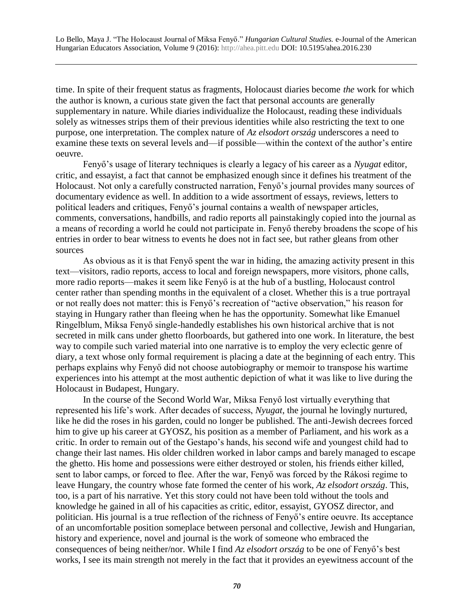time. In spite of their frequent status as fragments, Holocaust diaries become *the* work for which the author is known, a curious state given the fact that personal accounts are generally supplementary in nature. While diaries individualize the Holocaust, reading these individuals solely as witnesses strips them of their previous identities while also restricting the text to one purpose, one interpretation. The complex nature of *Az elsodort ország* underscores a need to examine these texts on several levels and—if possible—within the context of the author's entire oeuvre.

Fenyő's usage of literary techniques is clearly a legacy of his career as a *Nyugat* editor, critic, and essayist, a fact that cannot be emphasized enough since it defines his treatment of the Holocaust. Not only a carefully constructed narration, Fenyő's journal provides many sources of documentary evidence as well. In addition to a wide assortment of essays, reviews, letters to political leaders and critiques, Fenyő's journal contains a wealth of newspaper articles, comments, conversations, handbills, and radio reports all painstakingly copied into the journal as a means of recording a world he could not participate in. Fenyő thereby broadens the scope of his entries in order to bear witness to events he does not in fact see, but rather gleans from other sources

As obvious as it is that Fenyő spent the war in hiding, the amazing activity present in this text—visitors, radio reports, access to local and foreign newspapers, more visitors, phone calls, more radio reports—makes it seem like Fenyő is at the hub of a bustling, Holocaust control center rather than spending months in the equivalent of a closet. Whether this is a true portrayal or not really does not matter: this is Fenyő's recreation of "active observation," his reason for staying in Hungary rather than fleeing when he has the opportunity. Somewhat like Emanuel Ringelblum, Miksa Fenyő single-handedly establishes his own historical archive that is not secreted in milk cans under ghetto floorboards, but gathered into one work. In literature, the best way to compile such varied material into one narrative is to employ the very eclectic genre of diary, a text whose only formal requirement is placing a date at the beginning of each entry. This perhaps explains why Fenyő did not choose autobiography or memoir to transpose his wartime experiences into his attempt at the most authentic depiction of what it was like to live during the Holocaust in Budapest, Hungary.

In the course of the Second World War, Miksa Fenyő lost virtually everything that represented his life's work. After decades of success, *Nyugat*, the journal he lovingly nurtured, like he did the roses in his garden, could no longer be published. The anti-Jewish decrees forced him to give up his career at GYOSZ, his position as a member of Parliament, and his work as a critic. In order to remain out of the Gestapo's hands, his second wife and youngest child had to change their last names. His older children worked in labor camps and barely managed to escape the ghetto. His home and possessions were either destroyed or stolen, his friends either killed, sent to labor camps, or forced to flee. After the war, Fenyő was forced by the Rákosi regime to leave Hungary, the country whose fate formed the center of his work, *Az elsodort ország*. This, too, is a part of his narrative. Yet this story could not have been told without the tools and knowledge he gained in all of his capacities as critic, editor, essayist, GYOSZ director, and politician. His journal is a true reflection of the richness of Fenyő's entire oeuvre. Its acceptance of an uncomfortable position someplace between personal and collective, Jewish and Hungarian, history and experience, novel and journal is the work of someone who embraced the consequences of being neither/nor. While I find *Az elsodort ország* to be one of Fenyő's best works, I see its main strength not merely in the fact that it provides an eyewitness account of the